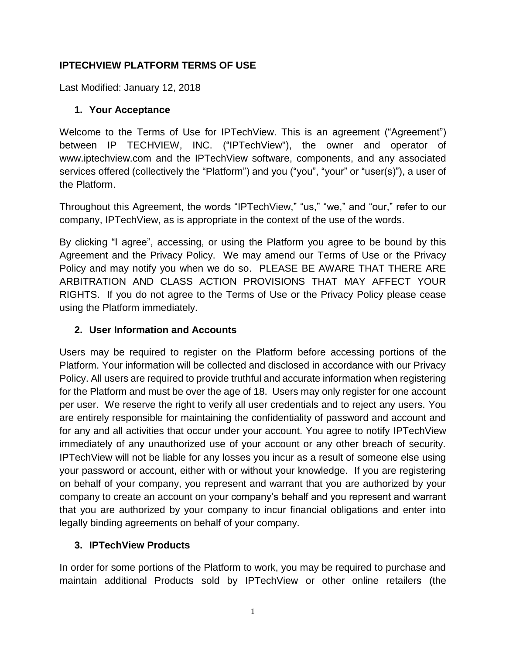#### **IPTECHVIEW PLATFORM TERMS OF USE**

Last Modified: January 12, 2018

#### **1. Your Acceptance**

Welcome to the Terms of Use for IPTechView. This is an agreement ("Agreement") between IP TECHVIEW, INC. ("IPTechView"), the owner and operator of www.iptechview.com and the IPTechView software, components, and any associated services offered (collectively the "Platform") and you ("you", "your" or "user(s)"), a user of the Platform.

Throughout this Agreement, the words "IPTechView," "us," "we," and "our," refer to our company, IPTechView, as is appropriate in the context of the use of the words.

By clicking "I agree", accessing, or using the Platform you agree to be bound by this Agreement and the Privacy Policy. We may amend our Terms of Use or the Privacy Policy and may notify you when we do so. PLEASE BE AWARE THAT THERE ARE ARBITRATION AND CLASS ACTION PROVISIONS THAT MAY AFFECT YOUR RIGHTS. If you do not agree to the Terms of Use or the Privacy Policy please cease using the Platform immediately.

#### **2. User Information and Accounts**

Users may be required to register on the Platform before accessing portions of the Platform. Your information will be collected and disclosed in accordance with our Privacy Policy. All users are required to provide truthful and accurate information when registering for the Platform and must be over the age of 18. Users may only register for one account per user. We reserve the right to verify all user credentials and to reject any users. You are entirely responsible for maintaining the confidentiality of password and account and for any and all activities that occur under your account. You agree to notify IPTechView immediately of any unauthorized use of your account or any other breach of security. IPTechView will not be liable for any losses you incur as a result of someone else using your password or account, either with or without your knowledge. If you are registering on behalf of your company, you represent and warrant that you are authorized by your company to create an account on your company's behalf and you represent and warrant that you are authorized by your company to incur financial obligations and enter into legally binding agreements on behalf of your company.

#### **3. IPTechView Products**

In order for some portions of the Platform to work, you may be required to purchase and maintain additional Products sold by IPTechView or other online retailers (the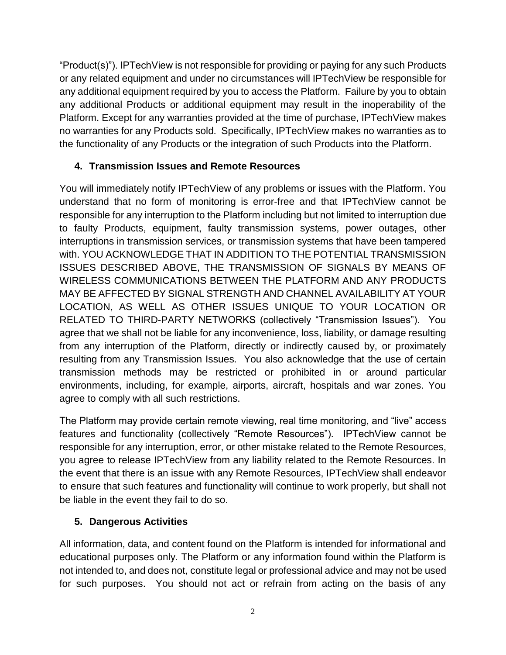"Product(s)"). IPTechView is not responsible for providing or paying for any such Products or any related equipment and under no circumstances will IPTechView be responsible for any additional equipment required by you to access the Platform. Failure by you to obtain any additional Products or additional equipment may result in the inoperability of the Platform. Except for any warranties provided at the time of purchase, IPTechView makes no warranties for any Products sold. Specifically, IPTechView makes no warranties as to the functionality of any Products or the integration of such Products into the Platform.

## **4. Transmission Issues and Remote Resources**

You will immediately notify IPTechView of any problems or issues with the Platform. You understand that no form of monitoring is error-free and that IPTechView cannot be responsible for any interruption to the Platform including but not limited to interruption due to faulty Products, equipment, faulty transmission systems, power outages, other interruptions in transmission services, or transmission systems that have been tampered with. YOU ACKNOWLEDGE THAT IN ADDITION TO THE POTENTIAL TRANSMISSION ISSUES DESCRIBED ABOVE, THE TRANSMISSION OF SIGNALS BY MEANS OF WIRELESS COMMUNICATIONS BETWEEN THE PLATFORM AND ANY PRODUCTS MAY BE AFFECTED BY SIGNAL STRENGTH AND CHANNEL AVAILABILITY AT YOUR LOCATION, AS WELL AS OTHER ISSUES UNIQUE TO YOUR LOCATION OR RELATED TO THIRD-PARTY NETWORKS (collectively "Transmission Issues"). You agree that we shall not be liable for any inconvenience, loss, liability, or damage resulting from any interruption of the Platform, directly or indirectly caused by, or proximately resulting from any Transmission Issues. You also acknowledge that the use of certain transmission methods may be restricted or prohibited in or around particular environments, including, for example, airports, aircraft, hospitals and war zones. You agree to comply with all such restrictions.

The Platform may provide certain remote viewing, real time monitoring, and "live" access features and functionality (collectively "Remote Resources"). IPTechView cannot be responsible for any interruption, error, or other mistake related to the Remote Resources, you agree to release IPTechView from any liability related to the Remote Resources. In the event that there is an issue with any Remote Resources, IPTechView shall endeavor to ensure that such features and functionality will continue to work properly, but shall not be liable in the event they fail to do so.

#### **5. Dangerous Activities**

All information, data, and content found on the Platform is intended for informational and educational purposes only. The Platform or any information found within the Platform is not intended to, and does not, constitute legal or professional advice and may not be used for such purposes. You should not act or refrain from acting on the basis of any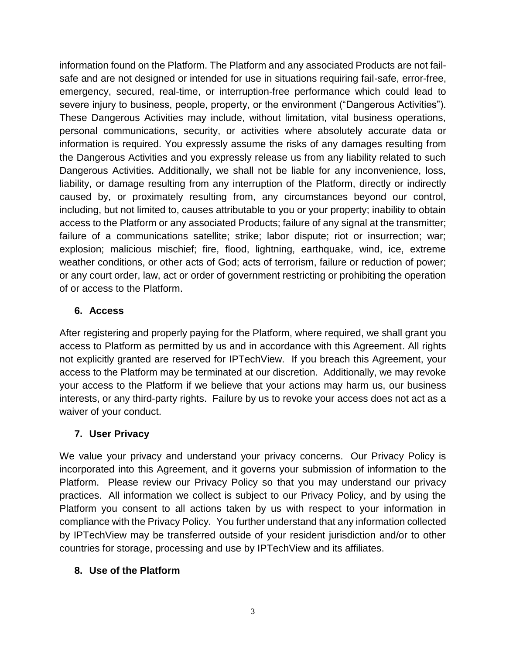information found on the Platform. The Platform and any associated Products are not failsafe and are not designed or intended for use in situations requiring fail-safe, error-free, emergency, secured, real-time, or interruption-free performance which could lead to severe injury to business, people, property, or the environment ("Dangerous Activities"). These Dangerous Activities may include, without limitation, vital business operations, personal communications, security, or activities where absolutely accurate data or information is required. You expressly assume the risks of any damages resulting from the Dangerous Activities and you expressly release us from any liability related to such Dangerous Activities. Additionally, we shall not be liable for any inconvenience, loss, liability, or damage resulting from any interruption of the Platform, directly or indirectly caused by, or proximately resulting from, any circumstances beyond our control, including, but not limited to, causes attributable to you or your property; inability to obtain access to the Platform or any associated Products; failure of any signal at the transmitter; failure of a communications satellite; strike; labor dispute; riot or insurrection; war; explosion; malicious mischief; fire, flood, lightning, earthquake, wind, ice, extreme weather conditions, or other acts of God; acts of terrorism, failure or reduction of power; or any court order, law, act or order of government restricting or prohibiting the operation of or access to the Platform.

#### **6. Access**

After registering and properly paying for the Platform, where required, we shall grant you access to Platform as permitted by us and in accordance with this Agreement. All rights not explicitly granted are reserved for IPTechView. If you breach this Agreement, your access to the Platform may be terminated at our discretion. Additionally, we may revoke your access to the Platform if we believe that your actions may harm us, our business interests, or any third-party rights. Failure by us to revoke your access does not act as a waiver of your conduct.

## **7. User Privacy**

We value your privacy and understand your privacy concerns. Our Privacy Policy is incorporated into this Agreement, and it governs your submission of information to the Platform. Please review our Privacy Policy so that you may understand our privacy practices. All information we collect is subject to our Privacy Policy, and by using the Platform you consent to all actions taken by us with respect to your information in compliance with the Privacy Policy. You further understand that any information collected by IPTechView may be transferred outside of your resident jurisdiction and/or to other countries for storage, processing and use by IPTechView and its affiliates.

## **8. Use of the Platform**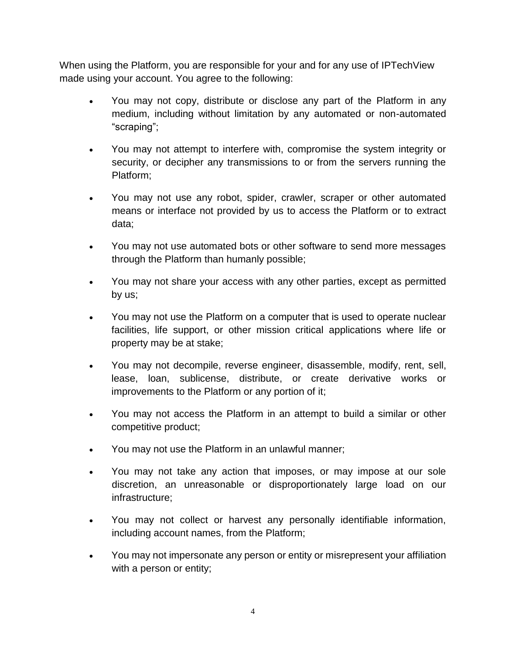When using the Platform, you are responsible for your and for any use of IPTechView made using your account. You agree to the following:

- You may not copy, distribute or disclose any part of the Platform in any medium, including without limitation by any automated or non-automated "scraping";
- You may not attempt to interfere with, compromise the system integrity or security, or decipher any transmissions to or from the servers running the Platform;
- You may not use any robot, spider, crawler, scraper or other automated means or interface not provided by us to access the Platform or to extract data;
- You may not use automated bots or other software to send more messages through the Platform than humanly possible;
- You may not share your access with any other parties, except as permitted by us;
- You may not use the Platform on a computer that is used to operate nuclear facilities, life support, or other mission critical applications where life or property may be at stake;
- You may not decompile, reverse engineer, disassemble, modify, rent, sell, lease, loan, sublicense, distribute, or create derivative works or improvements to the Platform or any portion of it;
- You may not access the Platform in an attempt to build a similar or other competitive product;
- You may not use the Platform in an unlawful manner;
- You may not take any action that imposes, or may impose at our sole discretion, an unreasonable or disproportionately large load on our infrastructure;
- You may not collect or harvest any personally identifiable information, including account names, from the Platform;
- You may not impersonate any person or entity or misrepresent your affiliation with a person or entity;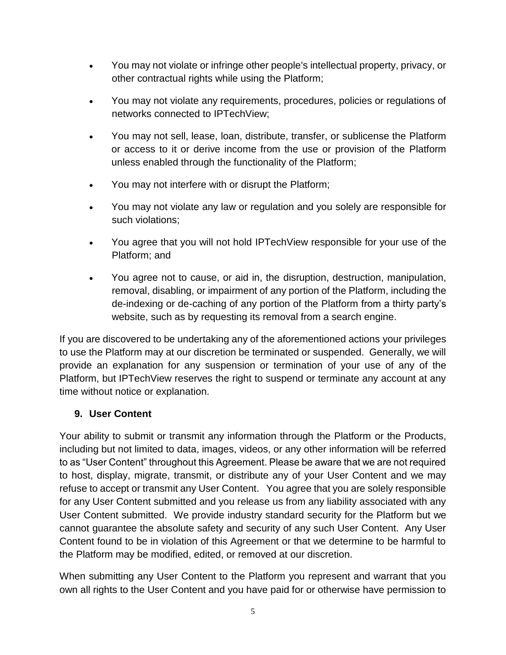- You may not violate or infringe other people's intellectual property, privacy, or other contractual rights while using the Platform;
- You may not violate any requirements, procedures, policies or regulations of networks connected to IPTechView;
- You may not sell, lease, loan, distribute, transfer, or sublicense the Platform or access to it or derive income from the use or provision of the Platform unless enabled through the functionality of the Platform;
- You may not interfere with or disrupt the Platform;
- You may not violate any law or regulation and you solely are responsible for such violations;
- You agree that you will not hold IPTechView responsible for your use of the Platform; and
- You agree not to cause, or aid in, the disruption, destruction, manipulation, removal, disabling, or impairment of any portion of the Platform, including the de-indexing or de-caching of any portion of the Platform from a thirty party's website, such as by requesting its removal from a search engine.

If you are discovered to be undertaking any of the aforementioned actions your privileges to use the Platform may at our discretion be terminated or suspended. Generally, we will provide an explanation for any suspension or termination of your use of any of the Platform, but IPTechView reserves the right to suspend or terminate any account at any time without notice or explanation.

## **9. User Content**

Your ability to submit or transmit any information through the Platform or the Products, including but not limited to data, images, videos, or any other information will be referred to as "User Content" throughout this Agreement. Please be aware that we are not required to host, display, migrate, transmit, or distribute any of your User Content and we may refuse to accept or transmit any User Content. You agree that you are solely responsible for any User Content submitted and you release us from any liability associated with any User Content submitted. We provide industry standard security for the Platform but we cannot guarantee the absolute safety and security of any such User Content. Any User Content found to be in violation of this Agreement or that we determine to be harmful to the Platform may be modified, edited, or removed at our discretion.

When submitting any User Content to the Platform you represent and warrant that you own all rights to the User Content and you have paid for or otherwise have permission to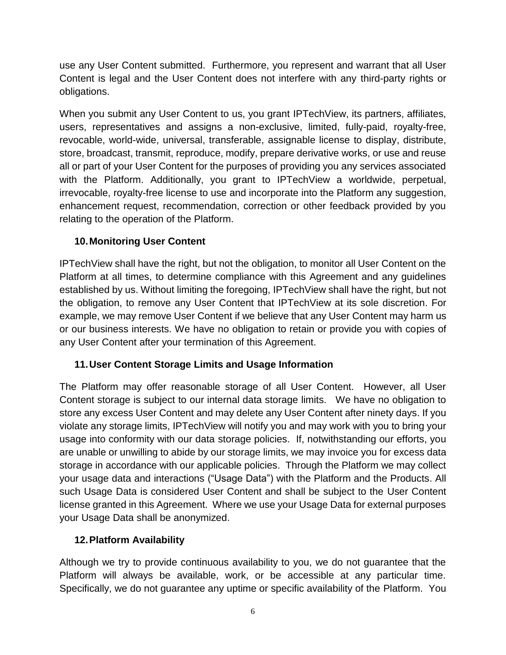use any User Content submitted. Furthermore, you represent and warrant that all User Content is legal and the User Content does not interfere with any third-party rights or obligations.

When you submit any User Content to us, you grant IPTechView, its partners, affiliates, users, representatives and assigns a non-exclusive, limited, fully-paid, royalty-free, revocable, world-wide, universal, transferable, assignable license to display, distribute, store, broadcast, transmit, reproduce, modify, prepare derivative works, or use and reuse all or part of your User Content for the purposes of providing you any services associated with the Platform. Additionally, you grant to IPTechView a worldwide, perpetual, irrevocable, royalty-free license to use and incorporate into the Platform any suggestion, enhancement request, recommendation, correction or other feedback provided by you relating to the operation of the Platform.

## **10.Monitoring User Content**

IPTechView shall have the right, but not the obligation, to monitor all User Content on the Platform at all times, to determine compliance with this Agreement and any guidelines established by us. Without limiting the foregoing, IPTechView shall have the right, but not the obligation, to remove any User Content that IPTechView at its sole discretion. For example, we may remove User Content if we believe that any User Content may harm us or our business interests. We have no obligation to retain or provide you with copies of any User Content after your termination of this Agreement.

## **11.User Content Storage Limits and Usage Information**

The Platform may offer reasonable storage of all User Content. However, all User Content storage is subject to our internal data storage limits. We have no obligation to store any excess User Content and may delete any User Content after ninety days. If you violate any storage limits, IPTechView will notify you and may work with you to bring your usage into conformity with our data storage policies. If, notwithstanding our efforts, you are unable or unwilling to abide by our storage limits, we may invoice you for excess data storage in accordance with our applicable policies. Through the Platform we may collect your usage data and interactions ("Usage Data") with the Platform and the Products. All such Usage Data is considered User Content and shall be subject to the User Content license granted in this Agreement. Where we use your Usage Data for external purposes your Usage Data shall be anonymized.

#### **12.Platform Availability**

Although we try to provide continuous availability to you, we do not guarantee that the Platform will always be available, work, or be accessible at any particular time. Specifically, we do not guarantee any uptime or specific availability of the Platform. You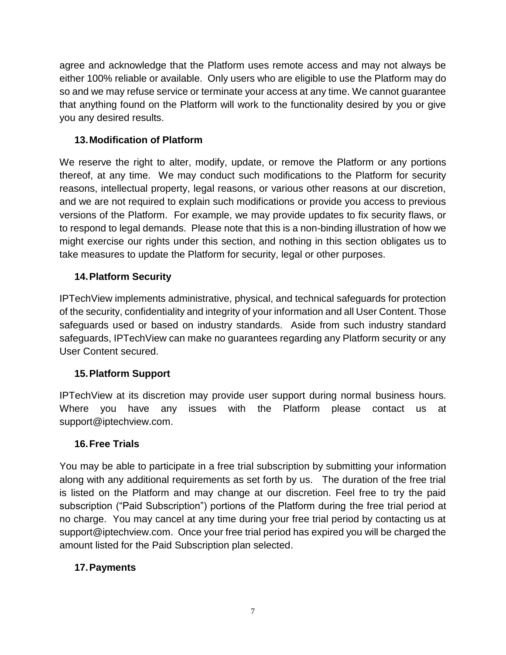agree and acknowledge that the Platform uses remote access and may not always be either 100% reliable or available. Only users who are eligible to use the Platform may do so and we may refuse service or terminate your access at any time. We cannot guarantee that anything found on the Platform will work to the functionality desired by you or give you any desired results.

## **13.Modification of Platform**

We reserve the right to alter, modify, update, or remove the Platform or any portions thereof, at any time. We may conduct such modifications to the Platform for security reasons, intellectual property, legal reasons, or various other reasons at our discretion, and we are not required to explain such modifications or provide you access to previous versions of the Platform. For example, we may provide updates to fix security flaws, or to respond to legal demands. Please note that this is a non-binding illustration of how we might exercise our rights under this section, and nothing in this section obligates us to take measures to update the Platform for security, legal or other purposes.

# **14.Platform Security**

IPTechView implements administrative, physical, and technical safeguards for protection of the security, confidentiality and integrity of your information and all User Content. Those safeguards used or based on industry standards. Aside from such industry standard safeguards, IPTechView can make no guarantees regarding any Platform security or any User Content secured.

## **15.Platform Support**

IPTechView at its discretion may provide user support during normal business hours. Where you have any issues with the Platform please contact us at support@iptechview.com.

#### **16.Free Trials**

You may be able to participate in a free trial subscription by submitting your information along with any additional requirements as set forth by us. The duration of the free trial is listed on the Platform and may change at our discretion. Feel free to try the paid subscription ("Paid Subscription") portions of the Platform during the free trial period at no charge. You may cancel at any time during your free trial period by contacting us at support@iptechview.com. Once your free trial period has expired you will be charged the amount listed for the Paid Subscription plan selected.

## **17.Payments**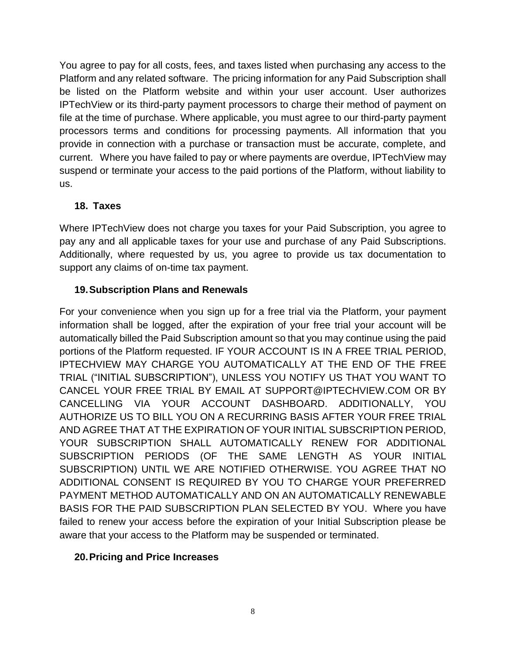You agree to pay for all costs, fees, and taxes listed when purchasing any access to the Platform and any related software. The pricing information for any Paid Subscription shall be listed on the Platform website and within your user account. User authorizes IPTechView or its third-party payment processors to charge their method of payment on file at the time of purchase. Where applicable, you must agree to our third-party payment processors terms and conditions for processing payments. All information that you provide in connection with a purchase or transaction must be accurate, complete, and current. Where you have failed to pay or where payments are overdue, IPTechView may suspend or terminate your access to the paid portions of the Platform, without liability to us.

#### **18. Taxes**

Where IPTechView does not charge you taxes for your Paid Subscription, you agree to pay any and all applicable taxes for your use and purchase of any Paid Subscriptions. Additionally, where requested by us, you agree to provide us tax documentation to support any claims of on-time tax payment.

# **19.Subscription Plans and Renewals**

For your convenience when you sign up for a free trial via the Platform, your payment information shall be logged, after the expiration of your free trial your account will be automatically billed the Paid Subscription amount so that you may continue using the paid portions of the Platform requested. IF YOUR ACCOUNT IS IN A FREE TRIAL PERIOD, IPTECHVIEW MAY CHARGE YOU AUTOMATICALLY AT THE END OF THE FREE TRIAL ("INITIAL SUBSCRIPTION"), UNLESS YOU NOTIFY US THAT YOU WANT TO CANCEL YOUR FREE TRIAL BY EMAIL AT SUPPORT@IPTECHVIEW.COM OR BY CANCELLING VIA YOUR ACCOUNT DASHBOARD. ADDITIONALLY, YOU AUTHORIZE US TO BILL YOU ON A RECURRING BASIS AFTER YOUR FREE TRIAL AND AGREE THAT AT THE EXPIRATION OF YOUR INITIAL SUBSCRIPTION PERIOD, YOUR SUBSCRIPTION SHALL AUTOMATICALLY RENEW FOR ADDITIONAL SUBSCRIPTION PERIODS (OF THE SAME LENGTH AS YOUR INITIAL SUBSCRIPTION) UNTIL WE ARE NOTIFIED OTHERWISE. YOU AGREE THAT NO ADDITIONAL CONSENT IS REQUIRED BY YOU TO CHARGE YOUR PREFERRED PAYMENT METHOD AUTOMATICALLY AND ON AN AUTOMATICALLY RENEWABLE BASIS FOR THE PAID SUBSCRIPTION PLAN SELECTED BY YOU. Where you have failed to renew your access before the expiration of your Initial Subscription please be aware that your access to the Platform may be suspended or terminated.

## **20.Pricing and Price Increases**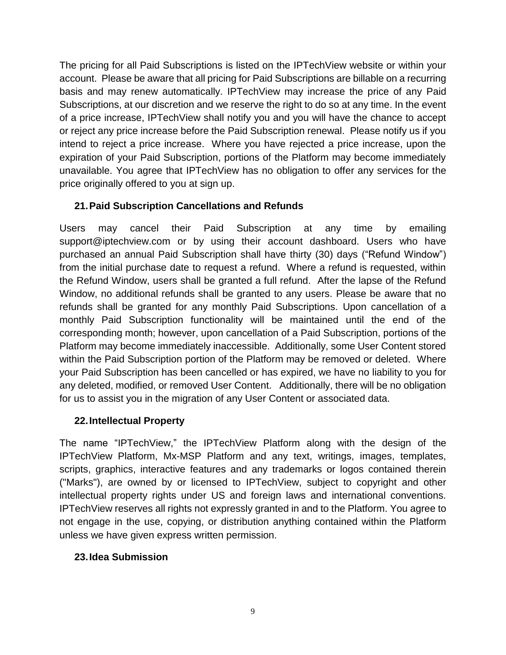The pricing for all Paid Subscriptions is listed on the IPTechView website or within your account. Please be aware that all pricing for Paid Subscriptions are billable on a recurring basis and may renew automatically. IPTechView may increase the price of any Paid Subscriptions, at our discretion and we reserve the right to do so at any time. In the event of a price increase, IPTechView shall notify you and you will have the chance to accept or reject any price increase before the Paid Subscription renewal. Please notify us if you intend to reject a price increase. Where you have rejected a price increase, upon the expiration of your Paid Subscription, portions of the Platform may become immediately unavailable. You agree that IPTechView has no obligation to offer any services for the price originally offered to you at sign up.

## **21.Paid Subscription Cancellations and Refunds**

Users may cancel their Paid Subscription at any time by emailing support@iptechview.com or by using their account dashboard. Users who have purchased an annual Paid Subscription shall have thirty (30) days ("Refund Window") from the initial purchase date to request a refund. Where a refund is requested, within the Refund Window, users shall be granted a full refund. After the lapse of the Refund Window, no additional refunds shall be granted to any users. Please be aware that no refunds shall be granted for any monthly Paid Subscriptions. Upon cancellation of a monthly Paid Subscription functionality will be maintained until the end of the corresponding month; however, upon cancellation of a Paid Subscription, portions of the Platform may become immediately inaccessible. Additionally, some User Content stored within the Paid Subscription portion of the Platform may be removed or deleted. Where your Paid Subscription has been cancelled or has expired, we have no liability to you for any deleted, modified, or removed User Content. Additionally, there will be no obligation for us to assist you in the migration of any User Content or associated data.

## **22.Intellectual Property**

The name "IPTechView," the IPTechView Platform along with the design of the IPTechView Platform, Mx-MSP Platform and any text, writings, images, templates, scripts, graphics, interactive features and any trademarks or logos contained therein ("Marks"), are owned by or licensed to IPTechView, subject to copyright and other intellectual property rights under US and foreign laws and international conventions. IPTechView reserves all rights not expressly granted in and to the Platform. You agree to not engage in the use, copying, or distribution anything contained within the Platform unless we have given express written permission.

## **23.Idea Submission**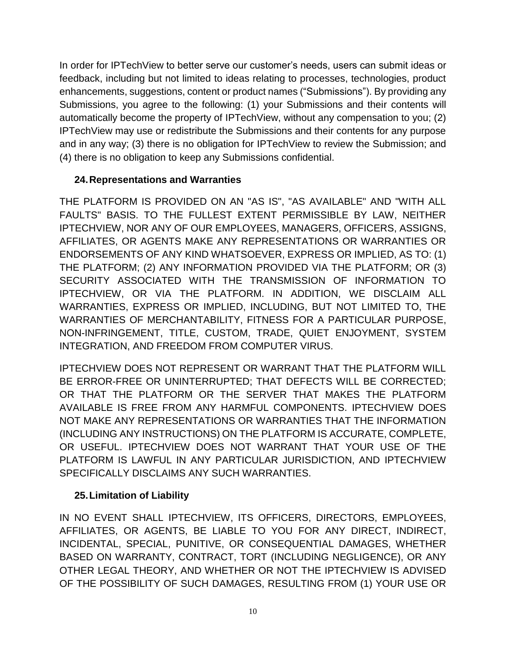In order for IPTechView to better serve our customer's needs, users can submit ideas or feedback, including but not limited to ideas relating to processes, technologies, product enhancements, suggestions, content or product names ("Submissions"). By providing any Submissions, you agree to the following: (1) your Submissions and their contents will automatically become the property of IPTechView, without any compensation to you; (2) IPTechView may use or redistribute the Submissions and their contents for any purpose and in any way; (3) there is no obligation for IPTechView to review the Submission; and (4) there is no obligation to keep any Submissions confidential.

## **24.Representations and Warranties**

THE PLATFORM IS PROVIDED ON AN "AS IS", "AS AVAILABLE" AND "WITH ALL FAULTS" BASIS. TO THE FULLEST EXTENT PERMISSIBLE BY LAW, NEITHER IPTECHVIEW, NOR ANY OF OUR EMPLOYEES, MANAGERS, OFFICERS, ASSIGNS, AFFILIATES, OR AGENTS MAKE ANY REPRESENTATIONS OR WARRANTIES OR ENDORSEMENTS OF ANY KIND WHATSOEVER, EXPRESS OR IMPLIED, AS TO: (1) THE PLATFORM; (2) ANY INFORMATION PROVIDED VIA THE PLATFORM; OR (3) SECURITY ASSOCIATED WITH THE TRANSMISSION OF INFORMATION TO IPTECHVIEW, OR VIA THE PLATFORM. IN ADDITION, WE DISCLAIM ALL WARRANTIES, EXPRESS OR IMPLIED, INCLUDING, BUT NOT LIMITED TO, THE WARRANTIES OF MERCHANTABILITY, FITNESS FOR A PARTICULAR PURPOSE, NON-INFRINGEMENT, TITLE, CUSTOM, TRADE, QUIET ENJOYMENT, SYSTEM INTEGRATION, AND FREEDOM FROM COMPUTER VIRUS.

IPTECHVIEW DOES NOT REPRESENT OR WARRANT THAT THE PLATFORM WILL BE ERROR-FREE OR UNINTERRUPTED; THAT DEFECTS WILL BE CORRECTED; OR THAT THE PLATFORM OR THE SERVER THAT MAKES THE PLATFORM AVAILABLE IS FREE FROM ANY HARMFUL COMPONENTS. IPTECHVIEW DOES NOT MAKE ANY REPRESENTATIONS OR WARRANTIES THAT THE INFORMATION (INCLUDING ANY INSTRUCTIONS) ON THE PLATFORM IS ACCURATE, COMPLETE, OR USEFUL. IPTECHVIEW DOES NOT WARRANT THAT YOUR USE OF THE PLATFORM IS LAWFUL IN ANY PARTICULAR JURISDICTION, AND IPTECHVIEW SPECIFICALLY DISCLAIMS ANY SUCH WARRANTIES.

## **25.Limitation of Liability**

IN NO EVENT SHALL IPTECHVIEW, ITS OFFICERS, DIRECTORS, EMPLOYEES, AFFILIATES, OR AGENTS, BE LIABLE TO YOU FOR ANY DIRECT, INDIRECT, INCIDENTAL, SPECIAL, PUNITIVE, OR CONSEQUENTIAL DAMAGES, WHETHER BASED ON WARRANTY, CONTRACT, TORT (INCLUDING NEGLIGENCE), OR ANY OTHER LEGAL THEORY, AND WHETHER OR NOT THE IPTECHVIEW IS ADVISED OF THE POSSIBILITY OF SUCH DAMAGES, RESULTING FROM (1) YOUR USE OR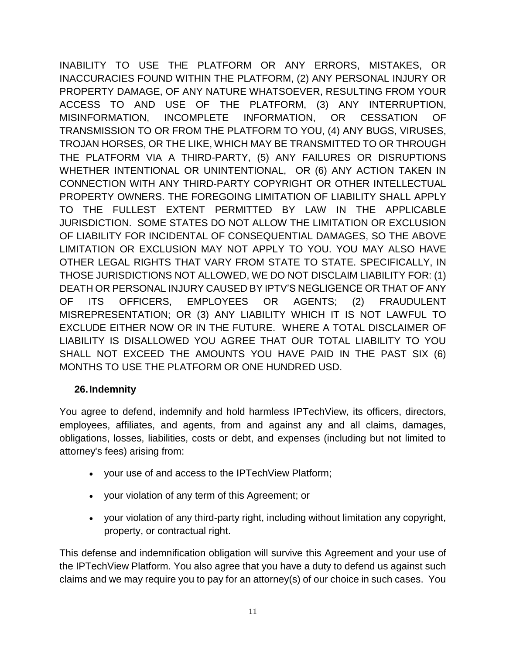INABILITY TO USE THE PLATFORM OR ANY ERRORS, MISTAKES, OR INACCURACIES FOUND WITHIN THE PLATFORM, (2) ANY PERSONAL INJURY OR PROPERTY DAMAGE, OF ANY NATURE WHATSOEVER, RESULTING FROM YOUR ACCESS TO AND USE OF THE PLATFORM, (3) ANY INTERRUPTION, MISINFORMATION, INCOMPLETE INFORMATION, OR CESSATION OF TRANSMISSION TO OR FROM THE PLATFORM TO YOU, (4) ANY BUGS, VIRUSES, TROJAN HORSES, OR THE LIKE, WHICH MAY BE TRANSMITTED TO OR THROUGH THE PLATFORM VIA A THIRD-PARTY, (5) ANY FAILURES OR DISRUPTIONS WHETHER INTENTIONAL OR UNINTENTIONAL, OR (6) ANY ACTION TAKEN IN CONNECTION WITH ANY THIRD-PARTY COPYRIGHT OR OTHER INTELLECTUAL PROPERTY OWNERS. THE FOREGOING LIMITATION OF LIABILITY SHALL APPLY TO THE FULLEST EXTENT PERMITTED BY LAW IN THE APPLICABLE JURISDICTION. SOME STATES DO NOT ALLOW THE LIMITATION OR EXCLUSION OF LIABILITY FOR INCIDENTAL OF CONSEQUENTIAL DAMAGES, SO THE ABOVE LIMITATION OR EXCLUSION MAY NOT APPLY TO YOU. YOU MAY ALSO HAVE OTHER LEGAL RIGHTS THAT VARY FROM STATE TO STATE. SPECIFICALLY, IN THOSE JURISDICTIONS NOT ALLOWED, WE DO NOT DISCLAIM LIABILITY FOR: (1) DEATH OR PERSONAL INJURY CAUSED BY IPTV'S NEGLIGENCE OR THAT OF ANY OF ITS OFFICERS, EMPLOYEES OR AGENTS; (2) FRAUDULENT MISREPRESENTATION; OR (3) ANY LIABILITY WHICH IT IS NOT LAWFUL TO EXCLUDE EITHER NOW OR IN THE FUTURE. WHERE A TOTAL DISCLAIMER OF LIABILITY IS DISALLOWED YOU AGREE THAT OUR TOTAL LIABILITY TO YOU SHALL NOT EXCEED THE AMOUNTS YOU HAVE PAID IN THE PAST SIX (6) MONTHS TO USE THE PLATFORM OR ONE HUNDRED USD.

#### **26.Indemnity**

You agree to defend, indemnify and hold harmless IPTechView, its officers, directors, employees, affiliates, and agents, from and against any and all claims, damages, obligations, losses, liabilities, costs or debt, and expenses (including but not limited to attorney's fees) arising from:

- your use of and access to the IPTechView Platform;
- your violation of any term of this Agreement; or
- your violation of any third-party right, including without limitation any copyright, property, or contractual right.

This defense and indemnification obligation will survive this Agreement and your use of the IPTechView Platform. You also agree that you have a duty to defend us against such claims and we may require you to pay for an attorney(s) of our choice in such cases. You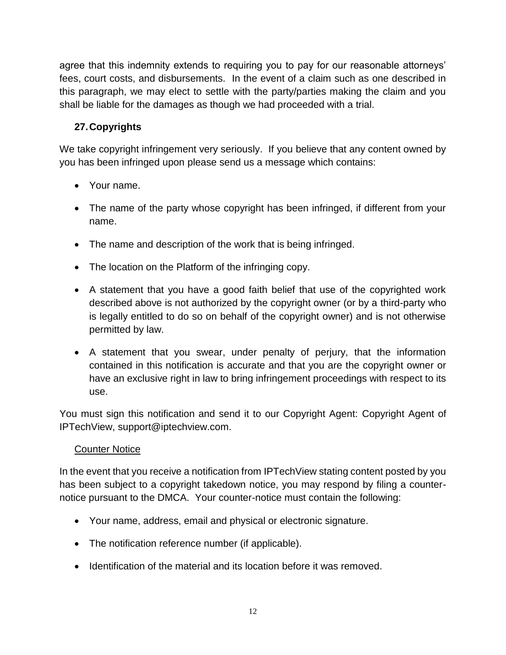agree that this indemnity extends to requiring you to pay for our reasonable attorneys' fees, court costs, and disbursements. In the event of a claim such as one described in this paragraph, we may elect to settle with the party/parties making the claim and you shall be liable for the damages as though we had proceeded with a trial.

# **27.Copyrights**

We take copyright infringement very seriously. If you believe that any content owned by you has been infringed upon please send us a message which contains:

- Your name.
- The name of the party whose copyright has been infringed, if different from your name.
- The name and description of the work that is being infringed.
- The location on the Platform of the infringing copy.
- A statement that you have a good faith belief that use of the copyrighted work described above is not authorized by the copyright owner (or by a third-party who is legally entitled to do so on behalf of the copyright owner) and is not otherwise permitted by law.
- A statement that you swear, under penalty of perjury, that the information contained in this notification is accurate and that you are the copyright owner or have an exclusive right in law to bring infringement proceedings with respect to its use.

You must sign this notification and send it to our Copyright Agent: Copyright Agent of IPTechView, support@iptechview.com.

## **Counter Notice**

In the event that you receive a notification from IPTechView stating content posted by you has been subject to a copyright takedown notice, you may respond by filing a counternotice pursuant to the DMCA. Your counter-notice must contain the following:

- Your name, address, email and physical or electronic signature.
- The notification reference number (if applicable).
- Identification of the material and its location before it was removed.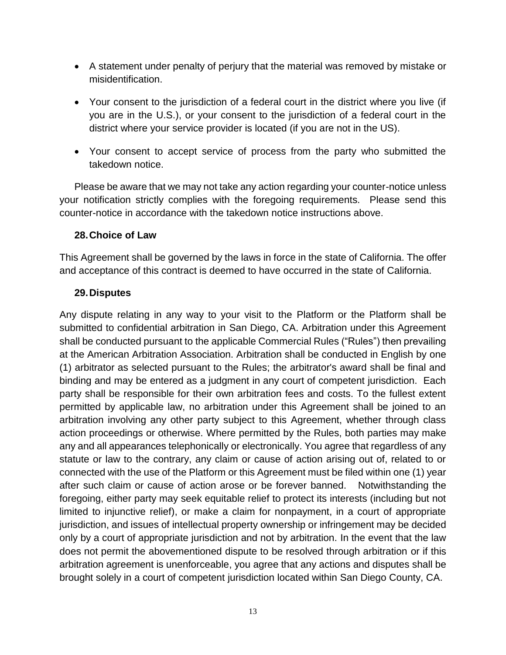- A statement under penalty of perjury that the material was removed by mistake or misidentification.
- Your consent to the jurisdiction of a federal court in the district where you live (if you are in the U.S.), or your consent to the jurisdiction of a federal court in the district where your service provider is located (if you are not in the US).
- Your consent to accept service of process from the party who submitted the takedown notice.

Please be aware that we may not take any action regarding your counter-notice unless your notification strictly complies with the foregoing requirements. Please send this counter-notice in accordance with the takedown notice instructions above.

#### **28.Choice of Law**

This Agreement shall be governed by the laws in force in the state of California. The offer and acceptance of this contract is deemed to have occurred in the state of California.

#### **29.Disputes**

Any dispute relating in any way to your visit to the Platform or the Platform shall be submitted to confidential arbitration in San Diego, CA. Arbitration under this Agreement shall be conducted pursuant to the applicable Commercial Rules ("Rules") then prevailing at the American Arbitration Association. Arbitration shall be conducted in English by one (1) arbitrator as selected pursuant to the Rules; the arbitrator's award shall be final and binding and may be entered as a judgment in any court of competent jurisdiction. Each party shall be responsible for their own arbitration fees and costs. To the fullest extent permitted by applicable law, no arbitration under this Agreement shall be joined to an arbitration involving any other party subject to this Agreement, whether through class action proceedings or otherwise. Where permitted by the Rules, both parties may make any and all appearances telephonically or electronically. You agree that regardless of any statute or law to the contrary, any claim or cause of action arising out of, related to or connected with the use of the Platform or this Agreement must be filed within one (1) year after such claim or cause of action arose or be forever banned. Notwithstanding the foregoing, either party may seek equitable relief to protect its interests (including but not limited to injunctive relief), or make a claim for nonpayment, in a court of appropriate jurisdiction, and issues of intellectual property ownership or infringement may be decided only by a court of appropriate jurisdiction and not by arbitration. In the event that the law does not permit the abovementioned dispute to be resolved through arbitration or if this arbitration agreement is unenforceable, you agree that any actions and disputes shall be brought solely in a court of competent jurisdiction located within San Diego County, CA.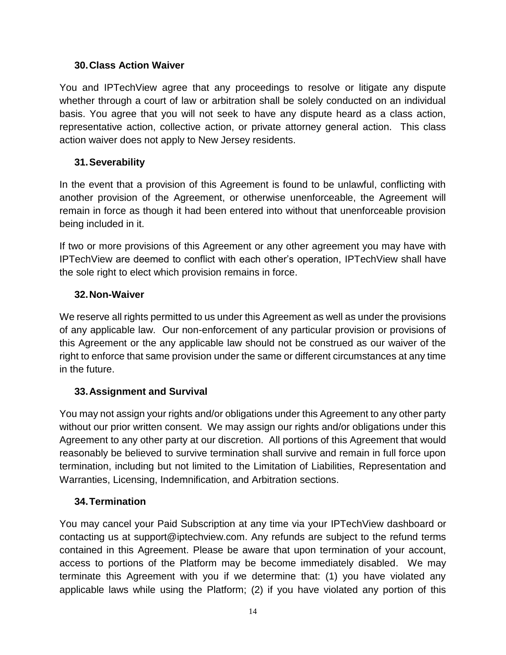#### **30.Class Action Waiver**

You and IPTechView agree that any proceedings to resolve or litigate any dispute whether through a court of law or arbitration shall be solely conducted on an individual basis. You agree that you will not seek to have any dispute heard as a class action, representative action, collective action, or private attorney general action. This class action waiver does not apply to New Jersey residents.

#### **31.Severability**

In the event that a provision of this Agreement is found to be unlawful, conflicting with another provision of the Agreement, or otherwise unenforceable, the Agreement will remain in force as though it had been entered into without that unenforceable provision being included in it.

If two or more provisions of this Agreement or any other agreement you may have with IPTechView are deemed to conflict with each other's operation, IPTechView shall have the sole right to elect which provision remains in force.

#### **32.Non-Waiver**

We reserve all rights permitted to us under this Agreement as well as under the provisions of any applicable law. Our non-enforcement of any particular provision or provisions of this Agreement or the any applicable law should not be construed as our waiver of the right to enforce that same provision under the same or different circumstances at any time in the future.

#### **33.Assignment and Survival**

You may not assign your rights and/or obligations under this Agreement to any other party without our prior written consent. We may assign our rights and/or obligations under this Agreement to any other party at our discretion. All portions of this Agreement that would reasonably be believed to survive termination shall survive and remain in full force upon termination, including but not limited to the Limitation of Liabilities, Representation and Warranties, Licensing, Indemnification, and Arbitration sections.

#### **34.Termination**

You may cancel your Paid Subscription at any time via your IPTechView dashboard or contacting us at support@iptechview.com. Any refunds are subject to the refund terms contained in this Agreement. Please be aware that upon termination of your account, access to portions of the Platform may be become immediately disabled. We may terminate this Agreement with you if we determine that: (1) you have violated any applicable laws while using the Platform; (2) if you have violated any portion of this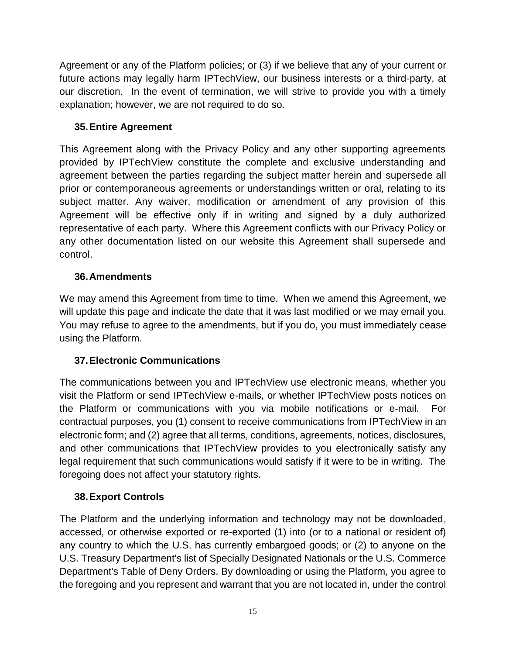Agreement or any of the Platform policies; or (3) if we believe that any of your current or future actions may legally harm IPTechView, our business interests or a third-party, at our discretion. In the event of termination, we will strive to provide you with a timely explanation; however, we are not required to do so.

# **35.Entire Agreement**

This Agreement along with the Privacy Policy and any other supporting agreements provided by IPTechView constitute the complete and exclusive understanding and agreement between the parties regarding the subject matter herein and supersede all prior or contemporaneous agreements or understandings written or oral, relating to its subject matter. Any waiver, modification or amendment of any provision of this Agreement will be effective only if in writing and signed by a duly authorized representative of each party. Where this Agreement conflicts with our Privacy Policy or any other documentation listed on our website this Agreement shall supersede and control.

# **36.Amendments**

We may amend this Agreement from time to time. When we amend this Agreement, we will update this page and indicate the date that it was last modified or we may email you. You may refuse to agree to the amendments, but if you do, you must immediately cease using the Platform.

## **37.Electronic Communications**

The communications between you and IPTechView use electronic means, whether you visit the Platform or send IPTechView e-mails, or whether IPTechView posts notices on the Platform or communications with you via mobile notifications or e-mail. For contractual purposes, you (1) consent to receive communications from IPTechView in an electronic form; and (2) agree that all terms, conditions, agreements, notices, disclosures, and other communications that IPTechView provides to you electronically satisfy any legal requirement that such communications would satisfy if it were to be in writing. The foregoing does not affect your statutory rights.

## **38.Export Controls**

The Platform and the underlying information and technology may not be downloaded, accessed, or otherwise exported or re-exported (1) into (or to a national or resident of) any country to which the U.S. has currently embargoed goods; or (2) to anyone on the U.S. Treasury Department's list of Specially Designated Nationals or the U.S. Commerce Department's Table of Deny Orders. By downloading or using the Platform, you agree to the foregoing and you represent and warrant that you are not located in, under the control